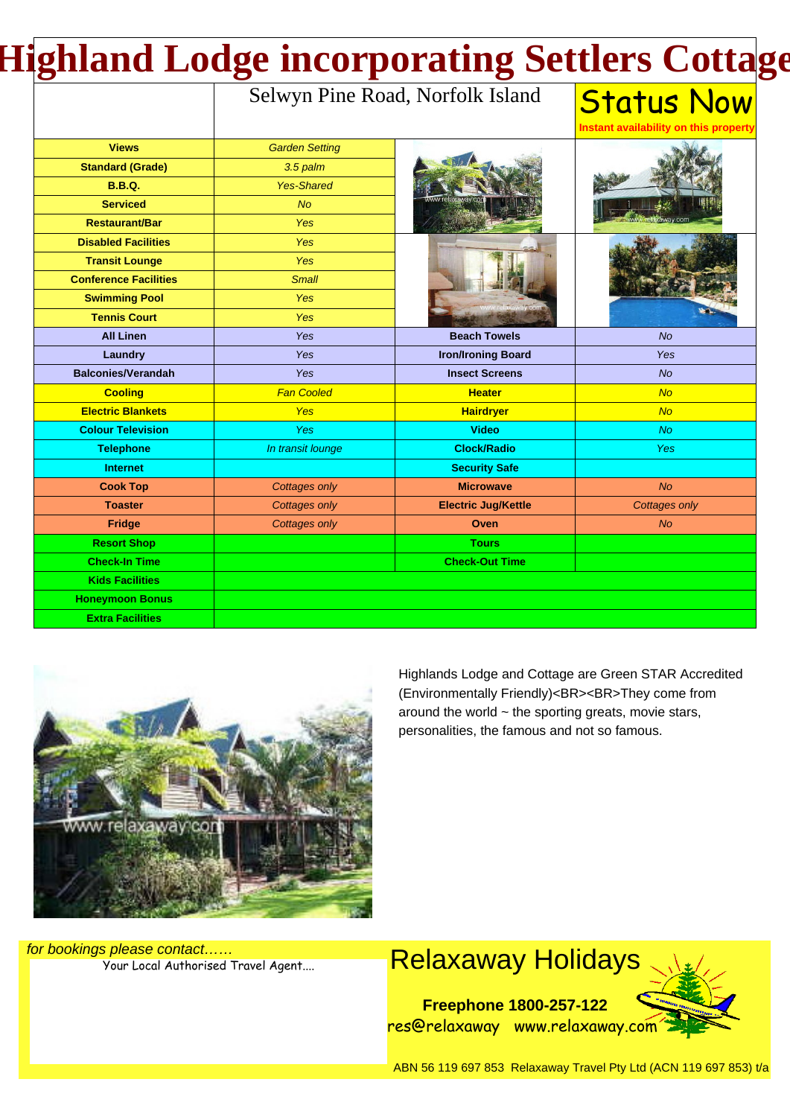# **Highland Lodge incorporating Settlers Cottage**

### Selwyn Pine Road, Norfolk Island

#### **Status Now Instant availability on this property**

| <b>Views</b>                 | <b>Garden Setting</b> |                            |                |
|------------------------------|-----------------------|----------------------------|----------------|
| <b>Standard (Grade)</b>      | 3.5 palm              |                            |                |
| <b>B.B.Q.</b>                | <b>Yes-Shared</b>     |                            |                |
| <b>Serviced</b>              | No                    |                            |                |
| <b>Restaurant/Bar</b>        | <b>Yes</b>            |                            |                |
| <b>Disabled Facilities</b>   | <b>Yes</b>            |                            |                |
| <b>Transit Lounge</b>        | Yes                   |                            |                |
| <b>Conference Facilities</b> | <b>Small</b>          |                            |                |
| <b>Swimming Pool</b>         | Yes                   |                            |                |
| <b>Tennis Court</b>          | Yes                   |                            |                |
| <b>All Linen</b>             | Yes                   | <b>Beach Towels</b>        | <b>No</b>      |
| Laundry                      | Yes                   | <b>Iron/Ironing Board</b>  | Yes            |
| <b>Balconies/Verandah</b>    | Yes                   | <b>Insect Screens</b>      | No             |
| <b>Cooling</b>               | <b>Fan Cooled</b>     | <b>Heater</b>              | No             |
| <b>Electric Blankets</b>     | <b>Yes</b>            | <b>Hairdryer</b>           | No             |
| <b>Colour Television</b>     | Yes                   | <b>Video</b>               | <b>No</b>      |
| <b>Telephone</b>             | In transit lounge     | <b>Clock/Radio</b>         | <b>Yes</b>     |
| <b>Internet</b>              |                       | <b>Security Safe</b>       |                |
| <b>Cook Top</b>              | <b>Cottages only</b>  | <b>Microwave</b>           | N <sub>O</sub> |
| <b>Toaster</b>               | <b>Cottages only</b>  | <b>Electric Jug/Kettle</b> | Cottages only  |
| Fridge                       | <b>Cottages only</b>  | Oven                       | <b>No</b>      |
| <b>Resort Shop</b>           |                       | <b>Tours</b>               |                |
| <b>Check-In Time</b>         |                       | <b>Check-Out Time</b>      |                |
| <b>Kids Facilities</b>       |                       |                            |                |
| <b>Honeymoon Bonus</b>       |                       |                            |                |
| <b>Extra Facilities</b>      |                       |                            |                |



Highlands Lodge and Cottage are Green STAR Accredited (Environmentally Friendly)<BR><BR>They come from around the world  $\sim$  the sporting greats, movie stars, personalities, the famous and not so famous.

for bookings please contact……